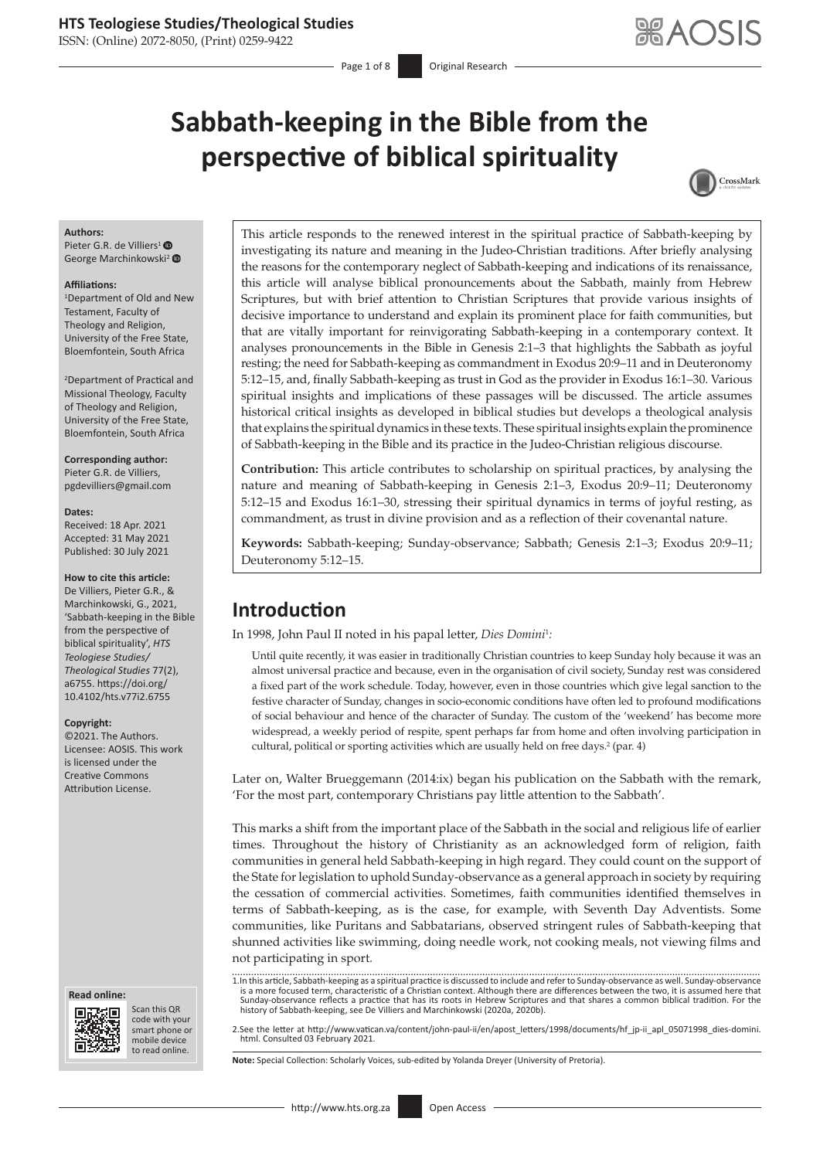ISSN: (Online) 2072-8050, (Print) 0259-9422

Page 1 of 8 **Original Research** 

# **Sabbath-keeping in the Bible from the perspective of biblical spirituality**



#### **Authors:**

Pieter G.R. de Villiers<sup>[1](https://orcid.org/0000-0002-7047-299X)</sup> George Marchinkowski<sup>[2](https://orcid.org/0000-0002-3145-4342)</sup>

#### **Affiliations:**

1 Department of Old and New Testament, Faculty of Theology and Religion, University of the Free State, Bloemfontein, South Africa

2 Department of Practical and Missional Theology, Faculty of Theology and Religion, University of the Free State, Bloemfontein, South Africa

**Corresponding author:** Pieter G.R. de Villiers, [pgdevilliers@gmail.com](mailto:pgdevilliers@gmail.com)

#### **Dates:**

Received: 18 Apr. 2021 Accepted: 31 May 2021 Published: 30 July 2021

#### **How to cite this article:**

De Villiers, Pieter G.R., & Marchinkowski, G., 2021, 'Sabbath-keeping in the Bible from the perspective of biblical spirituality', *HTS Teologiese Studies/ Theological Studies* 77(2), a6755. [https://doi.org/](https://doi.org/10.4102/hts.v77i2.6755) [10.4102/hts.v77i2.6755](https://doi.org/10.4102/hts.v77i2.6755)

#### **Copyright:**

©2021. The Authors. Licensee: AOSIS. This work is licensed under the Creative Commons Attribution License.

#### **Read online: Read online:**



Scan this QR code with your Scan this QR<br>code with your<br>smart phone or<br>mobile device mobile device to read online. to read online.

This article responds to the renewed interest in the spiritual practice of Sabbath-keeping by investigating its nature and meaning in the Judeo-Christian traditions. After briefly analysing the reasons for the contemporary neglect of Sabbath-keeping and indications of its renaissance, this article will analyse biblical pronouncements about the Sabbath, mainly from Hebrew Scriptures, but with brief attention to Christian Scriptures that provide various insights of decisive importance to understand and explain its prominent place for faith communities, but that are vitally important for reinvigorating Sabbath-keeping in a contemporary context. It analyses pronouncements in the Bible in Genesis 2:1–3 that highlights the Sabbath as joyful resting; the need for Sabbath-keeping as commandment in Exodus 20:9–11 and in Deuteronomy 5:12–15, and, finally Sabbath-keeping as trust in God as the provider in Exodus 16:1–30. Various spiritual insights and implications of these passages will be discussed. The article assumes historical critical insights as developed in biblical studies but develops a theological analysis that explains the spiritual dynamics in these texts. These spiritual insights explain the prominence of Sabbath-keeping in the Bible and its practice in the Judeo-Christian religious discourse.

**Contribution:** This article contributes to scholarship on spiritual practices, by analysing the nature and meaning of Sabbath-keeping in Genesis 2:1–3, Exodus 20:9–11; Deuteronomy 5:12–15 and Exodus 16:1–30, stressing their spiritual dynamics in terms of joyful resting, as commandment, as trust in divine provision and as a reflection of their covenantal nature.

**Keywords:** Sabbath-keeping; Sunday-observance; Sabbath; Genesis 2:1–3; Exodus 20:9–11; Deuteronomy 5:12–15.

# **Introduction**

In 1998, John Paul II noted in his papal letter, *Dies Domini*<sup>1</sup> *:*

Until quite recently, it was easier in traditionally Christian countries to keep Sunday holy because it was an almost universal practice and because, even in the organisation of civil society, Sunday rest was considered a fixed part of the work schedule. Today, however, even in those countries which give legal sanction to the festive character of Sunday, changes in socio-economic conditions have often led to profound modifications of social behaviour and hence of the character of Sunday. The custom of the 'weekend' has become more widespread, a weekly period of respite, spent perhaps far from home and often involving participation in cultural, political or sporting activities which are usually held on free days.<sup>2</sup> (par. 4)

Later on, Walter Brueggemann (2014:ix) began his publication on the Sabbath with the remark, 'For the most part, contemporary Christians pay little attention to the Sabbath'.

This marks a shift from the important place of the Sabbath in the social and religious life of earlier times. Throughout the history of Christianity as an acknowledged form of religion, faith communities in general held Sabbath-keeping in high regard. They could count on the support of the State for legislation to uphold Sunday-observance as a general approach in society by requiring the cessation of commercial activities. Sometimes, faith communities identified themselves in terms of Sabbath-keeping, as is the case, for example, with Seventh Day Adventists. Some communities, like Puritans and Sabbatarians, observed stringent rules of Sabbath-keeping that shunned activities like swimming, doing needle work, not cooking meals, not viewing films and not participating in sport.

1.In this article, Sabbath-keeping as a spiritual practice is discussed to include and refer to Sunday-observance as well. Sunday-observance is a more focused term, characteristic of a Christian context. Although there are differences between the two, it is assumed here that<br>Sunday-observance reflects a practice that has its roots in Hebrew Scriptures and that history of Sabbath-keeping, see De Villiers and Marchinkowski (2020a, 2020b).

2.See the letter at [http://www.vatican.va/content/john-paul-ii/en/apost\\_letters/1998/documents/hf\\_jp-ii\\_apl\\_05071998\\_dies-domini.](http://www.vatican.va/content/john-paul-ii/en/apost_letters/1998/documents/hf_jp-ii_apl_05071998_dies-domini.html) [html.](http://www.vatican.va/content/john-paul-ii/en/apost_letters/1998/documents/hf_jp-ii_apl_05071998_dies-domini.html) Consulted 03 February 2021.

**Note:** Special Collection: Scholarly Voices, sub-edited by Yolanda Dreyer (University of Pretoria).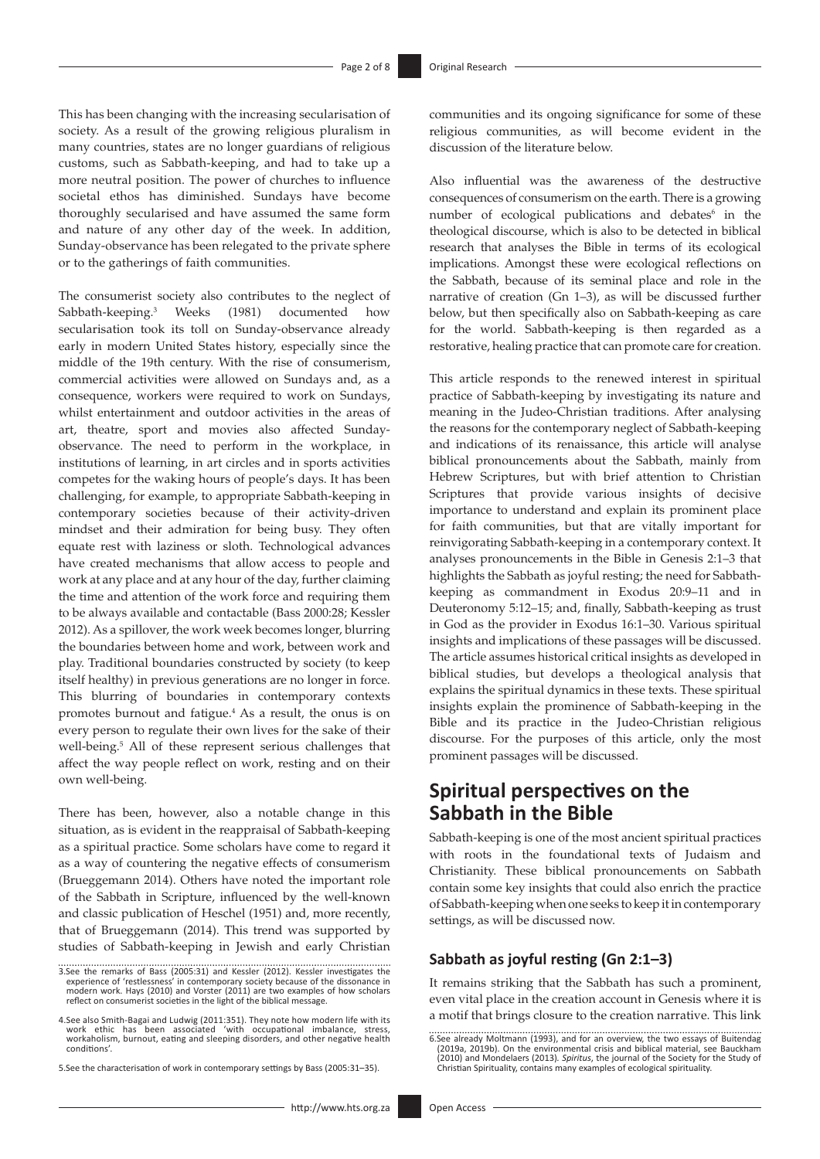This has been changing with the increasing secularisation of society. As a result of the growing religious pluralism in many countries, states are no longer guardians of religious customs, such as Sabbath-keeping, and had to take up a more neutral position. The power of churches to influence societal ethos has diminished. Sundays have become thoroughly secularised and have assumed the same form and nature of any other day of the week. In addition, Sunday-observance has been relegated to the private sphere or to the gatherings of faith communities.

The consumerist society also contributes to the neglect of Sabbath-keeping.3 Weeks (1981) documented how secularisation took its toll on Sunday-observance already early in modern United States history, especially since the middle of the 19th century. With the rise of consumerism, commercial activities were allowed on Sundays and, as a consequence, workers were required to work on Sundays, whilst entertainment and outdoor activities in the areas of art, theatre, sport and movies also affected Sundayobservance. The need to perform in the workplace, in institutions of learning, in art circles and in sports activities competes for the waking hours of people's days. It has been challenging, for example, to appropriate Sabbath-keeping in contemporary societies because of their activity-driven mindset and their admiration for being busy. They often equate rest with laziness or sloth. Technological advances have created mechanisms that allow access to people and work at any place and at any hour of the day, further claiming the time and attention of the work force and requiring them to be always available and contactable (Bass 2000:28; Kessler 2012). As a spillover, the work week becomes longer, blurring the boundaries between home and work, between work and play. Traditional boundaries constructed by society (to keep itself healthy) in previous generations are no longer in force. This blurring of boundaries in contemporary contexts promotes burnout and fatigue.4 As a result, the onus is on every person to regulate their own lives for the sake of their well-being.<sup>5</sup> All of these represent serious challenges that affect the way people reflect on work, resting and on their own well-being.

There has been, however, also a notable change in this situation, as is evident in the reappraisal of Sabbath-keeping as a spiritual practice. Some scholars have come to regard it as a way of countering the negative effects of consumerism (Brueggemann 2014). Others have noted the important role of the Sabbath in Scripture, influenced by the well-known and classic publication of Heschel (1951) and, more recently, that of Brueggemann (2014). This trend was supported by studies of Sabbath-keeping in Jewish and early Christian

5.See the characterisation of work in contemporary settings by Bass (2005:31–35).

communities and its ongoing significance for some of these religious communities, as will become evident in the discussion of the literature below.

Also influential was the awareness of the destructive consequences of consumerism on the earth. There is a growing number of ecological publications and debates<sup>6</sup> in the theological discourse, which is also to be detected in biblical research that analyses the Bible in terms of its ecological implications. Amongst these were ecological reflections on the Sabbath, because of its seminal place and role in the narrative of creation (Gn 1–3), as will be discussed further below, but then specifically also on Sabbath-keeping as care for the world. Sabbath-keeping is then regarded as a restorative, healing practice that can promote care for creation.

This article responds to the renewed interest in spiritual practice of Sabbath-keeping by investigating its nature and meaning in the Judeo-Christian traditions. After analysing the reasons for the contemporary neglect of Sabbath-keeping and indications of its renaissance, this article will analyse biblical pronouncements about the Sabbath, mainly from Hebrew Scriptures, but with brief attention to Christian Scriptures that provide various insights of decisive importance to understand and explain its prominent place for faith communities, but that are vitally important for reinvigorating Sabbath-keeping in a contemporary context. It analyses pronouncements in the Bible in Genesis 2:1–3 that highlights the Sabbath as joyful resting; the need for Sabbathkeeping as commandment in Exodus 20:9–11 and in Deuteronomy 5:12–15; and, finally, Sabbath-keeping as trust in God as the provider in Exodus 16:1–30. Various spiritual insights and implications of these passages will be discussed. The article assumes historical critical insights as developed in biblical studies, but develops a theological analysis that explains the spiritual dynamics in these texts. These spiritual insights explain the prominence of Sabbath-keeping in the Bible and its practice in the Judeo-Christian religious discourse. For the purposes of this article, only the most prominent passages will be discussed.

# **Spiritual perspectives on the Sabbath in the Bible**

Sabbath-keeping is one of the most ancient spiritual practices with roots in the foundational texts of Judaism and Christianity. These biblical pronouncements on Sabbath contain some key insights that could also enrich the practice of Sabbath-keeping when one seeks to keep it in contemporary settings, as will be discussed now.

## **Sabbath as joyful resting (Gn 2:1–3)**

It remains striking that the Sabbath has such a prominent, even vital place in the creation account in Genesis where it is a motif that brings closure to the creation narrative. This link

<sup>3.</sup>See the remarks of Bass (2005:31) and Kessler (2012). Kessler investigates the experience of 'restlessness' in contemporary society because of the dissonance in modern work. Hays (2010) and Vorster (2011) are two example

<sup>4.</sup>See also Smith-Bagai and Ludwig (2011:351). They note how modern life with its work ethic has been associated 'with occupational imbalance, stress, workaholism, burnout, eating and sleeping disorders, and other negative health conditions'.

<sup>6.</sup>See already Moltmann (1993), and for an overview, the two essays of Buitendag (2019a, 2019b). On the environmental crisis and biblical material, see Bauckham (2010) and Mondelaers (2013). Spiritus, the journal of the Soc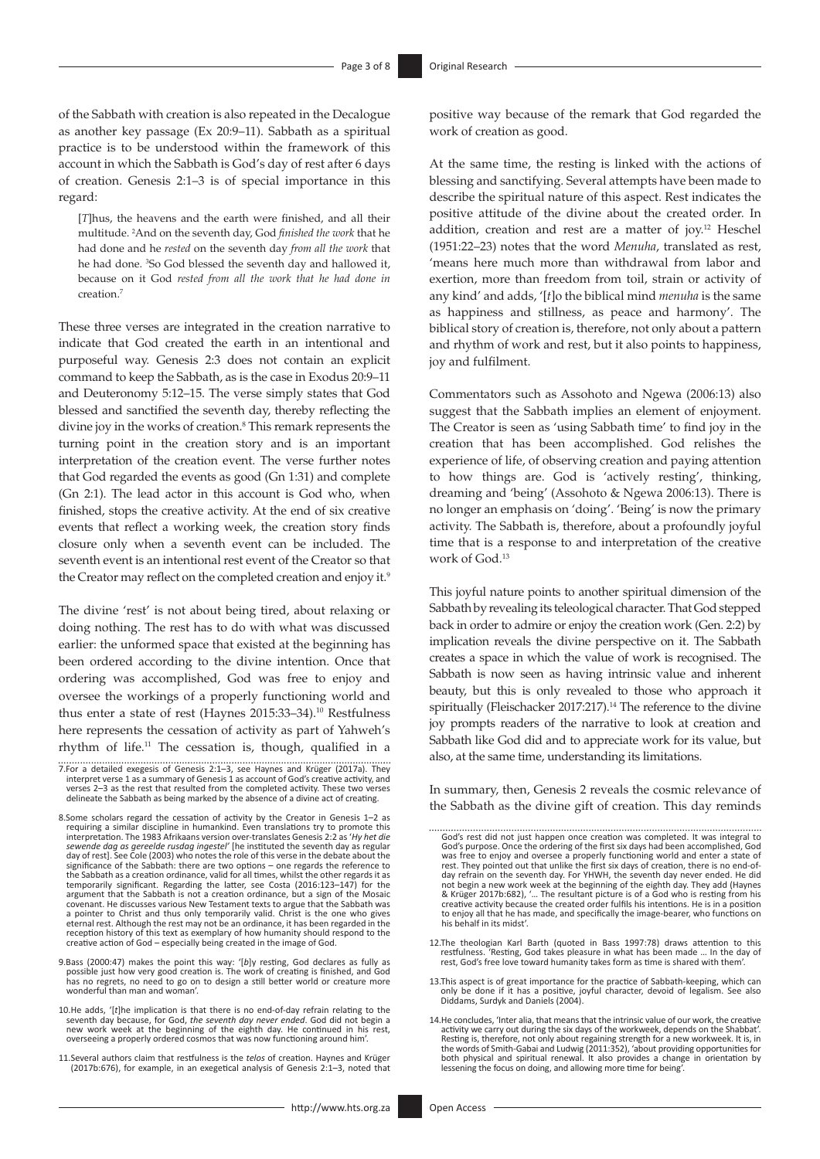of the Sabbath with creation is also repeated in the Decalogue as another key passage (Ex 20:9–11). Sabbath as a spiritual practice is to be understood within the framework of this account in which the Sabbath is God's day of rest after 6 days of creation. Genesis 2:1–3 is of special importance in this regard:

[*T*]hus, the heavens and the earth were finished, and all their multitude. 2 And on the seventh day, God *finished the work* that he had done and he *rested* on the seventh day *from all the work* that he had done. <sup>3</sup>So God blessed the seventh day and hallowed it, because on it God *rested from all the work that he had done in*  creation.7

These three verses are integrated in the creation narrative to indicate that God created the earth in an intentional and purposeful way. Genesis 2:3 does not contain an explicit command to keep the Sabbath, as is the case in Exodus 20:9–11 and Deuteronomy 5:12–15. The verse simply states that God blessed and sanctified the seventh day, thereby reflecting the divine joy in the works of creation.<sup>8</sup> This remark represents the turning point in the creation story and is an important interpretation of the creation event. The verse further notes that God regarded the events as good (Gn 1:31) and complete (Gn 2:1). The lead actor in this account is God who, when finished, stops the creative activity. At the end of six creative events that reflect a working week, the creation story finds closure only when a seventh event can be included. The seventh event is an intentional rest event of the Creator so that the Creator may reflect on the completed creation and enjoy it.<sup>9</sup>

The divine 'rest' is not about being tired, about relaxing or doing nothing. The rest has to do with what was discussed earlier: the unformed space that existed at the beginning has been ordered according to the divine intention. Once that ordering was accomplished, God was free to enjoy and oversee the workings of a properly functioning world and thus enter a state of rest (Haynes 2015:33-34).<sup>10</sup> Restfulness here represents the cessation of activity as part of Yahweh's rhythm of life.11 The cessation is, though, qualified in a

- 7.For a detailed exegesis of Genesis 2:1–3, see Haynes and Krüger (2017a). They interpret verse 1 as a summary of Genesis 1 as account of God's creative activity, and verses 2–3 as the rest that resulted from the completed activity. These two verses delineate the Sabbath as being marked by the absence of a divine act of creating.
- 8.Some scholars regard the cessation of activity by the Creator in Genesis 1–2 as requiring a similar discipline in humankind. Even translations try to promote this interpretation. The 1983 Afrikaans version over-translates Genesis 2:2 as '*Hy het die sewende dag as gereelde rusdag ingestel'* [he instituted the seventh day as regular day of rest]. See Cole (2003) who notes the role of this verse in the debate about the significance of the Sabbath: there are two options – one regards the reference to the Sabbath as a creation ordinance, valid for all times, whilst the other regards it as temporarily significant. Regarding the latter, see Costa (2016:123–147) for the argument that the Sabbath is not a creation ordinance, but a sign of the Mosaic covenant. He discusses various New Testament texts to argue that the Sabbath was a pointer to Christ and thus only temporarily valid. Christ is the one who gives eternal rest. Although the rest may not be an ordinance, it has been regarded in the reception history of this text as exemplary of how humanity should respond to the creative action of God – especially being created in the image of God.
- 9.Bass (2000:47) makes the point this way: '[*b*]y resting, God declares as fully as possible just how very good creation is. The work of creating is finished, and God has no regrets, no need to go on to design a still better world or creature more wonderful than man and woman'.
- 10.He adds, '[*t*]he implication is that there is no end-of-day refrain relating to the seventh day because, for God, *the seventh day never ended*. God did not begin a new work week at the beginning of the eighth day. He continued in his rest, overseeing a properly ordered cosmos that was now functioning around him'.
- 11.Several authors claim that restfulness is the *telos* of creation. Haynes and Krüger (2017b:676), for example, in an exegetical analysis of Genesis 2:1–3, noted that

positive way because of the remark that God regarded the work of creation as good.

At the same time, the resting is linked with the actions of blessing and sanctifying. Several attempts have been made to describe the spiritual nature of this aspect. Rest indicates the positive attitude of the divine about the created order. In addition, creation and rest are a matter of joy.12 Heschel (1951:22–23) notes that the word *Menuha*, translated as rest, 'means here much more than withdrawal from labor and exertion, more than freedom from toil, strain or activity of any kind' and adds, '[*t*]o the biblical mind *menuha* is the same as happiness and stillness, as peace and harmony'. The biblical story of creation is, therefore, not only about a pattern and rhythm of work and rest, but it also points to happiness, joy and fulfilment.

Commentators such as Assohoto and Ngewa (2006:13) also suggest that the Sabbath implies an element of enjoyment. The Creator is seen as 'using Sabbath time' to find joy in the creation that has been accomplished. God relishes the experience of life, of observing creation and paying attention to how things are. God is 'actively resting', thinking, dreaming and 'being' (Assohoto & Ngewa 2006:13). There is no longer an emphasis on 'doing'. 'Being' is now the primary activity. The Sabbath is, therefore, about a profoundly joyful time that is a response to and interpretation of the creative work of God.13

This joyful nature points to another spiritual dimension of the Sabbath by revealing its teleological character. That God stepped back in order to admire or enjoy the creation work (Gen. 2:2) by implication reveals the divine perspective on it. The Sabbath creates a space in which the value of work is recognised. The Sabbath is now seen as having intrinsic value and inherent beauty, but this is only revealed to those who approach it spiritually (Fleischacker 2017:217).<sup>14</sup> The reference to the divine joy prompts readers of the narrative to look at creation and Sabbath like God did and to appreciate work for its value, but also, at the same time, understanding its limitations.

In summary, then, Genesis 2 reveals the cosmic relevance of the Sabbath as the divine gift of creation. This day reminds

- 12.The theologian Karl Barth (quoted in Bass 1997:78) draws attention to this restfulness. 'Resting, God takes pleasure in what has been made … In the day of rest, God's free love toward humanity takes form as time is shared with them'.
- 13.This aspect is of great importance for the practice of Sabbath-keeping, which can only be done if it has a positive, joyful character, devoid of legalism. See also Diddams, Surdyk and Daniels (2004).
- 14.He concludes, 'Inter alia, that means that the intrinsic value of our work, the creative activity we carry out during the six days of the workweek, depends on the Shabbat'.<br>Resting is, therefore, not only about regaining strength for a new workweek. It is, in<br>the words of Smith-Gabai and Ludwig (2011:352), 'ab lessening the focus on doing, and allowing more time for being

God's rest did not just happen once creation was completed. It was integral to God's purpose. Once the ordering of the first six days had been accomplished, God was free to enjoy and oversee a properly functioning world and enter a state of rest. They pointed out that unlike the first six days of creation, there is no end-ofday refrain on the seventh day. For YHWH, the seventh day never ended. He did<br>not begin a new work week at the beginning of the eighth day. They add (Haynes<br>& Krüger 2017b:682), '... The resultant picture is of a God who i to enjoy all that he has made, and specifically the image-bearer, who functions on his behalf in its midst'.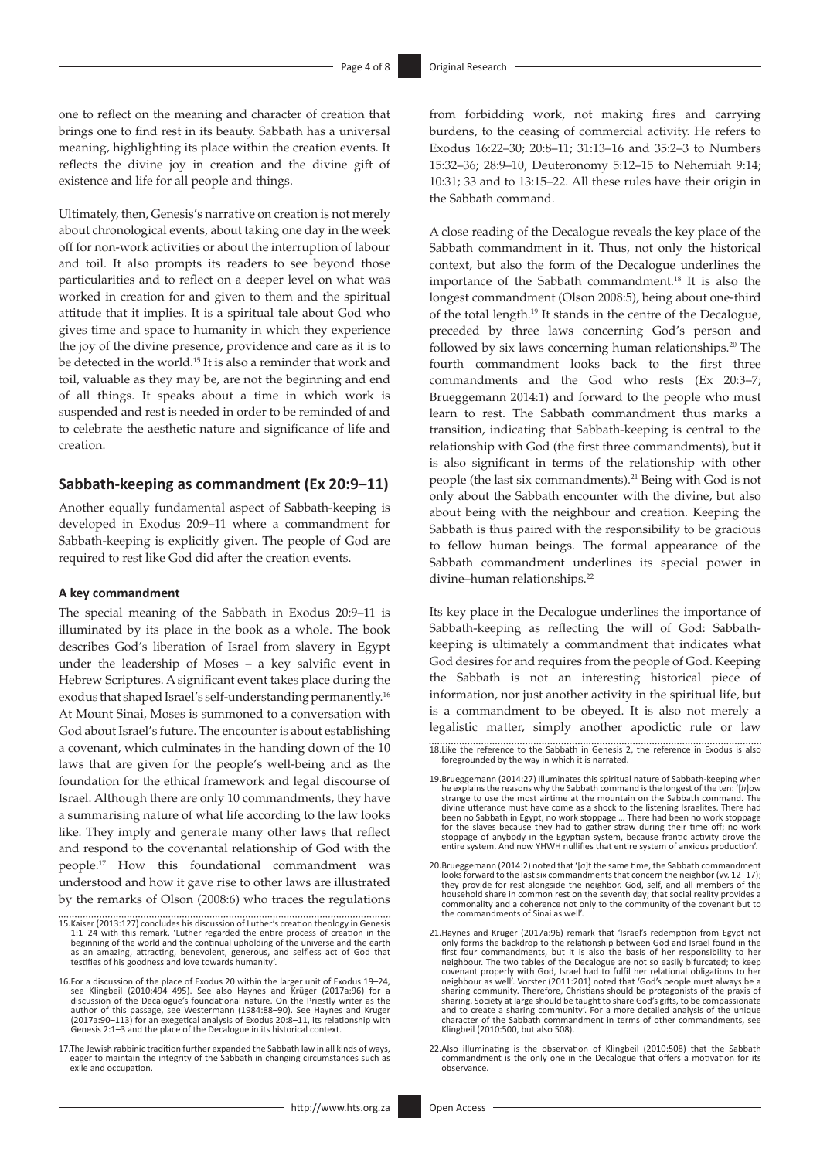one to reflect on the meaning and character of creation that brings one to find rest in its beauty. Sabbath has a universal meaning, highlighting its place within the creation events. It reflects the divine joy in creation and the divine gift of existence and life for all people and things.

Ultimately, then, Genesis's narrative on creation is not merely about chronological events, about taking one day in the week off for non-work activities or about the interruption of labour and toil. It also prompts its readers to see beyond those particularities and to reflect on a deeper level on what was worked in creation for and given to them and the spiritual attitude that it implies. It is a spiritual tale about God who gives time and space to humanity in which they experience the joy of the divine presence, providence and care as it is to be detected in the world.15 It is also a reminder that work and toil, valuable as they may be, are not the beginning and end of all things. It speaks about a time in which work is suspended and rest is needed in order to be reminded of and to celebrate the aesthetic nature and significance of life and creation.

### **Sabbath-keeping as commandment (Ex 20:9–11)**

Another equally fundamental aspect of Sabbath-keeping is developed in Exodus 20:9–11 where a commandment for Sabbath-keeping is explicitly given. The people of God are required to rest like God did after the creation events.

#### **A key commandment**

The special meaning of the Sabbath in Exodus 20:9–11 is illuminated by its place in the book as a whole. The book describes God's liberation of Israel from slavery in Egypt under the leadership of Moses – a key salvific event in Hebrew Scriptures. A significant event takes place during the exodus that shaped Israel's self-understanding permanently.<sup>16</sup> At Mount Sinai, Moses is summoned to a conversation with God about Israel's future. The encounter is about establishing a covenant, which culminates in the handing down of the 10 laws that are given for the people's well-being and as the foundation for the ethical framework and legal discourse of Israel. Although there are only 10 commandments, they have a summarising nature of what life according to the law looks like. They imply and generate many other laws that reflect and respond to the covenantal relationship of God with the people.17 How this foundational commandment was understood and how it gave rise to other laws are illustrated by the remarks of Olson (2008:6) who traces the regulations

17.The Jewish rabbinic tradition further expanded the Sabbath law in all kinds of ways, eager to maintain the integrity of the Sabbath in changing circumstances such as exile and occupation.

from forbidding work, not making fires and carrying burdens, to the ceasing of commercial activity. He refers to Exodus 16:22–30; 20:8–11; 31:13–16 and 35:2–3 to Numbers 15:32–36; 28:9–10, Deuteronomy 5:12–15 to Nehemiah 9:14; 10:31; 33 and to 13:15–22. All these rules have their origin in the Sabbath command.

A close reading of the Decalogue reveals the key place of the Sabbath commandment in it. Thus, not only the historical context, but also the form of the Decalogue underlines the importance of the Sabbath commandment.18 It is also the longest commandment (Olson 2008:5), being about one-third of the total length.19 It stands in the centre of the Decalogue, preceded by three laws concerning God's person and followed by six laws concerning human relationships.20 The fourth commandment looks back to the first three commandments and the God who rests (Ex 20:3–7; Brueggemann 2014:1) and forward to the people who must learn to rest. The Sabbath commandment thus marks a transition, indicating that Sabbath-keeping is central to the relationship with God (the first three commandments), but it is also significant in terms of the relationship with other people (the last six commandments).<sup>21</sup> Being with God is not only about the Sabbath encounter with the divine, but also about being with the neighbour and creation. Keeping the Sabbath is thus paired with the responsibility to be gracious to fellow human beings. The formal appearance of the Sabbath commandment underlines its special power in divine–human relationships.<sup>22</sup>

Its key place in the Decalogue underlines the importance of Sabbath-keeping as reflecting the will of God: Sabbathkeeping is ultimately a commandment that indicates what God desires for and requires from the people of God. Keeping the Sabbath is not an interesting historical piece of information, nor just another activity in the spiritual life, but is a commandment to be obeyed. It is also not merely a legalistic matter, simply another apodictic rule or law

18.Like the reference to the Sabbath in Genesis 2, the reference in Exodus is also foregrounded by the way in which it is narrated.

<sup>15.</sup>Kaiser (2013:127) concludes his discussion of Luther's creation theology in Genesis 1:1–24 with this remark, 'Luther regarded the entire process of creation in the beginning of the world and the continual upholding of the universe and the earth as an amazing, attracting, benevolent, generous, and selfless act of God that testifies of his goodness and love towards humanity'.

<sup>16.</sup>For a discussion of the place of Exodus 20 within the larger unit of Exodus 19–24, see Klingbeil (2010:494–495). See also Haynes and Krüger (2017a:96) for a discussion of the Decalogue's foundational nature. On the Priestly writer as the author of this passage, see Westermann (1984:88–90). See Haynes and Kruger (2017a:90–113) for an exegetical analysis of Exodus 20:8–11, its relationship with Genesis 2:1–3 and the place of the Decalogue in its historical context.

<sup>19.</sup>Brueggemann (2014:27) illuminates this spiritual nature of Sabbath-keeping when he explains the reasons why the Sabbath command is the longest of the ten: '[*h*]ow strange to use the most airtime at the mountain on the Sabbath command. The divine utterance must have come as a shock to the listening Israelites. There had been no Sabbath in Egypt, no work stoppage … There had been no work stoppage for the slaves because they had to gather straw during their time off; no work stoppage of anybody in the Egyptian system, because frantic activity drove the entire system. And now YHWH nullifies that entire system of anxious production'.

<sup>20.</sup>Brueggemann (2014:2) noted that '[*a*]t the same time, the Sabbath commandment looks forward to the last six commandments that concern the neighbor (vv. 12–17); they provide for rest alongside the neighbor. God, self, and all members of the household share in common rest on the seventh day; that social reality provides a commonality and a coherence not only to the community of the covenant but to the commandments of Sinai as well'.

<sup>21.</sup>Haynes and Kruger (2017a:96) remark that 'Israel's redemption from Egypt not only forms the backdrop to the relationship between God and Israel found in the first four commandments, but it is also the basis of her responsibility to her neighbour. The two tables of the Decalogue are not so easily bifurcated; to keep covenant properly with God, Israel had to fulfil her relational obligations to her neighbour as well'. Vorster (2011:201) noted that 'God's people must always be a sharing community. Therefore, Christians should be protagonists of the praxis of sharing. Society at large should be taught to share God's gifts, to be compassionate and to create a sharing community'. For a more detailed analysis of the unique character of the Sabbath commandment in terms of other commandments, see Klingbeil (2010:500, but also 508).

<sup>22.</sup>Also illuminating is the observation of Klingbeil (2010:508) that the Sabbath commandment is the only one in the Decalogue that offers a motivation for its observance.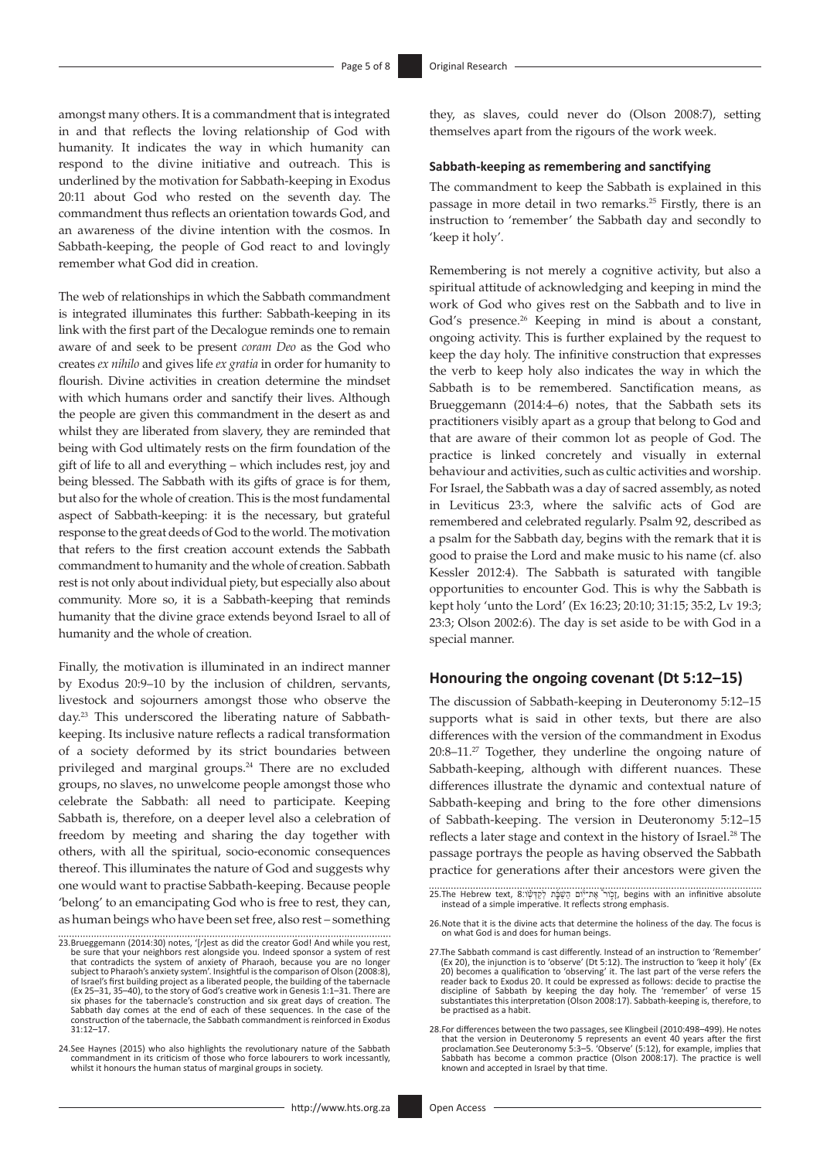amongst many others. It is a commandment that is integrated in and that reflects the loving relationship of God with humanity. It indicates the way in which humanity can respond to the divine initiative and outreach. This is underlined by the motivation for Sabbath-keeping in Exodus 20:11 about God who rested on the seventh day. The commandment thus reflects an orientation towards God, and an awareness of the divine intention with the cosmos. In Sabbath-keeping, the people of God react to and lovingly remember what God did in creation.

The web of relationships in which the Sabbath commandment is integrated illuminates this further: Sabbath-keeping in its link with the first part of the Decalogue reminds one to remain aware of and seek to be present *coram Deo* as the God who creates *ex nihilo* and gives life *ex gratia* in order for humanity to flourish. Divine activities in creation determine the mindset with which humans order and sanctify their lives. Although the people are given this commandment in the desert as and whilst they are liberated from slavery, they are reminded that being with God ultimately rests on the firm foundation of the gift of life to all and everything – which includes rest, joy and being blessed. The Sabbath with its gifts of grace is for them, but also for the whole of creation. This is the most fundamental aspect of Sabbath-keeping: it is the necessary, but grateful response to the great deeds of God to the world. The motivation that refers to the first creation account extends the Sabbath commandment to humanity and the whole of creation. Sabbath rest is not only about individual piety, but especially also about community. More so, it is a Sabbath-keeping that reminds humanity that the divine grace extends beyond Israel to all of humanity and the whole of creation.

Finally, the motivation is illuminated in an indirect manner by Exodus 20:9–10 by the inclusion of children, servants, livestock and sojourners amongst those who observe the day.23 This underscored the liberating nature of Sabbathkeeping. Its inclusive nature reflects a radical transformation of a society deformed by its strict boundaries between privileged and marginal groups.<sup>24</sup> There are no excluded groups, no slaves, no unwelcome people amongst those who celebrate the Sabbath: all need to participate. Keeping Sabbath is, therefore, on a deeper level also a celebration of freedom by meeting and sharing the day together with others, with all the spiritual, socio-economic consequences thereof. This illuminates the nature of God and suggests why one would want to practise Sabbath-keeping. Because people 'belong' to an emancipating God who is free to rest, they can, as human beings who have been set free, also rest – something they, as slaves, could never do (Olson 2008:7), setting themselves apart from the rigours of the work week.

#### **Sabbath-keeping as remembering and sanctifying**

The commandment to keep the Sabbath is explained in this passage in more detail in two remarks.25 Firstly, there is an instruction to 'remember' the Sabbath day and secondly to 'keep it holy'.

Remembering is not merely a cognitive activity, but also a spiritual attitude of acknowledging and keeping in mind the work of God who gives rest on the Sabbath and to live in God's presence.<sup>26</sup> Keeping in mind is about a constant, ongoing activity. This is further explained by the request to keep the day holy. The infinitive construction that expresses the verb to keep holy also indicates the way in which the Sabbath is to be remembered. Sanctification means, as Brueggemann (2014:4–6) notes, that the Sabbath sets its practitioners visibly apart as a group that belong to God and that are aware of their common lot as people of God. The practice is linked concretely and visually in external behaviour and activities, such as cultic activities and worship. For Israel, the Sabbath was a day of sacred assembly, as noted in Leviticus 23:3, where the salvific acts of God are remembered and celebrated regularly. Psalm 92, described as a psalm for the Sabbath day, begins with the remark that it is good to praise the Lord and make music to his name (cf. also Kessler 2012:4). The Sabbath is saturated with tangible opportunities to encounter God. This is why the Sabbath is kept holy 'unto the Lord' (Ex 16:23; 20:10; 31:15; 35:2, Lv 19:3; 23:3; Olson 2002:6). The day is set aside to be with God in a special manner.

#### **Honouring the ongoing covenant (Dt 5:12–15)**

The discussion of Sabbath-keeping in Deuteronomy 5:12–15 supports what is said in other texts, but there are also differences with the version of the commandment in Exodus 20:8–11.27 Together, they underline the ongoing nature of Sabbath-keeping, although with different nuances. These differences illustrate the dynamic and contextual nature of Sabbath-keeping and bring to the fore other dimensions of Sabbath-keeping. The version in Deuteronomy 5:12–15 reflects a later stage and context in the history of Israel.28 The passage portrays the people as having observed the Sabbath practice for generations after their ancestors were given the

<sup>23.</sup>Brueggemann (2014:30) notes, '[r]est as did the creator God! And while you rest,<br>be sure that your neighbors rest alongside you. Indeed sponsor a system of rest<br>that contradicts the system of anxiety of Pharaoh, because subject to Pharaoh's anxiety system'. Insightful is the comparison of Olson (2008:8), of Israel's first building project as a liberated people, the building of the tabernacle (Ex 25–31, 35–40), to the story of God's creative work in Genesis 1:1–31. There are six phases for the tabernacle's construction and six great days of creation. The Sabbath day comes at the end of each of these sequences. In the case of the construction of the tabernacle, the Sabbath commandment is reinforced in Exodus 31:12–17.

<sup>24.</sup>See Haynes (2015) who also highlights the revolutionary nature of the Sabbath commandment in its criticism of those who force labourers to work incessantly, whilst it honours the human status of marginal groups in society.

<sup>ָ</sup>זָכְוּר אֶת־יְּיֹוֹם הַשַּׁבָּ֫ת לְקַדְּשׁׁהָ begins with an infinitive absolute<br>instead of a simple imperative. It reflects strong emphasis.

<sup>26.</sup>Note that it is the divine acts that determine the holiness of the day. The focus is on what God is and does for human beings.

<sup>27.</sup>The Sabbath command is cast differently. Instead of an instruction to 'Remember' (Ex 20), the injunction is to 'observe' (Dt 5:12). The instruction to 'keep it holy' (Ex 20) becomes a qualification to 'observing' it. The last part of the verse refers the reader back to Exodus 20. It could be expressed as follows: decide to practise the discipline of Sabbath by keeping the day holy. The 'remember' of verse 15 substantiates this interpretation (Olson 2008:17). Sabbath-keeping is, therefore, to be practised as a habit.

<sup>28.</sup>For differences between the two passages, see Klingbeil (2010:498–499). He notes that the version in Deuteronomy 5 represents an event 40 years after the first proclamation.See Deuteronomy 5:3–5. 'Observe' (5:12), for example, implies that Sabbath has become a common practice (Olson 2008:17). The practice is well known and accepted in Israel by that time.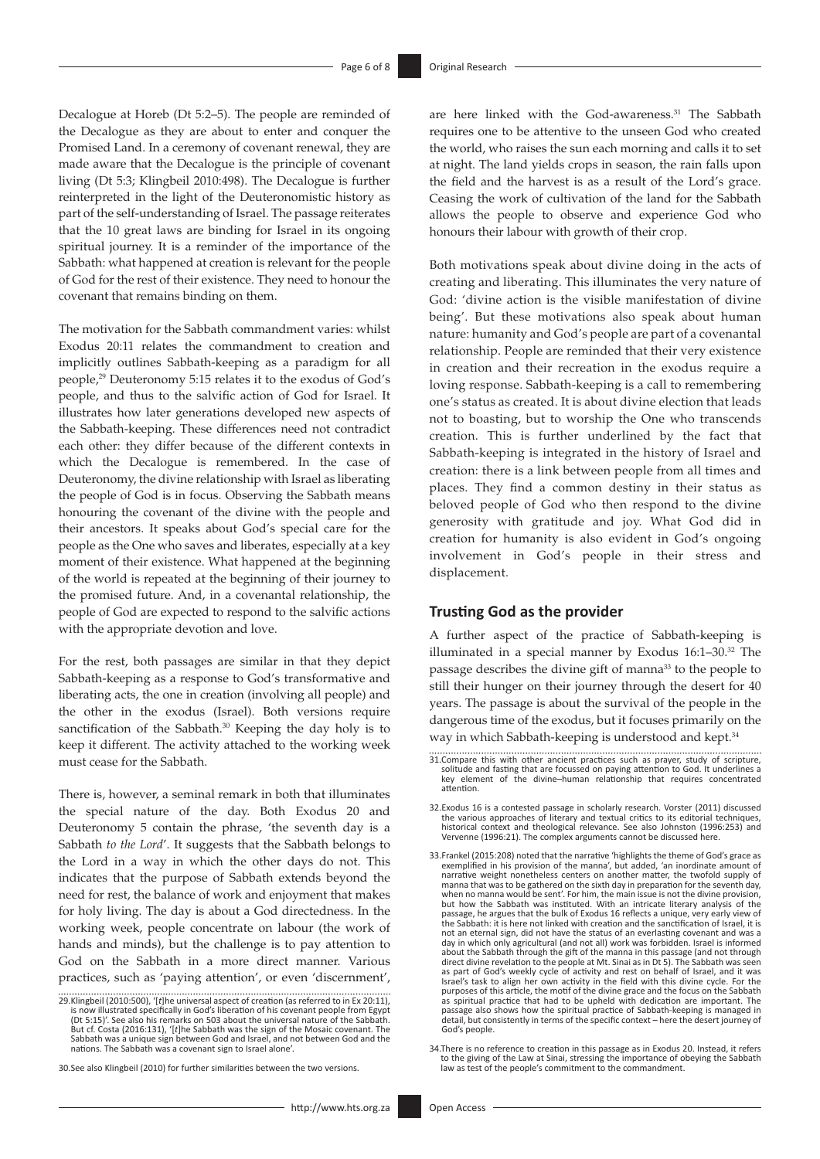Decalogue at Horeb (Dt 5:2–5). The people are reminded of the Decalogue as they are about to enter and conquer the Promised Land. In a ceremony of covenant renewal, they are made aware that the Decalogue is the principle of covenant living (Dt 5:3; Klingbeil 2010:498). The Decalogue is further reinterpreted in the light of the Deuteronomistic history as part of the self-understanding of Israel. The passage reiterates that the 10 great laws are binding for Israel in its ongoing spiritual journey. It is a reminder of the importance of the Sabbath: what happened at creation is relevant for the people of God for the rest of their existence. They need to honour the covenant that remains binding on them.

The motivation for the Sabbath commandment varies: whilst Exodus 20:11 relates the commandment to creation and implicitly outlines Sabbath-keeping as a paradigm for all people,29 Deuteronomy 5:15 relates it to the exodus of God's people, and thus to the salvific action of God for Israel. It illustrates how later generations developed new aspects of the Sabbath-keeping. These differences need not contradict each other: they differ because of the different contexts in which the Decalogue is remembered. In the case of Deuteronomy, the divine relationship with Israel as liberating the people of God is in focus. Observing the Sabbath means honouring the covenant of the divine with the people and their ancestors. It speaks about God's special care for the people as the One who saves and liberates, especially at a key moment of their existence. What happened at the beginning of the world is repeated at the beginning of their journey to the promised future. And, in a covenantal relationship, the people of God are expected to respond to the salvific actions with the appropriate devotion and love.

For the rest, both passages are similar in that they depict Sabbath-keeping as a response to God's transformative and liberating acts, the one in creation (involving all people) and the other in the exodus (Israel). Both versions require sanctification of the Sabbath.<sup>30</sup> Keeping the day holy is to keep it different. The activity attached to the working week must cease for the Sabbath.

There is, however, a seminal remark in both that illuminates the special nature of the day. Both Exodus 20 and Deuteronomy 5 contain the phrase, 'the seventh day is a Sabbath *to the Lord*'. It suggests that the Sabbath belongs to the Lord in a way in which the other days do not. This indicates that the purpose of Sabbath extends beyond the need for rest, the balance of work and enjoyment that makes for holy living. The day is about a God directedness. In the working week, people concentrate on labour (the work of hands and minds), but the challenge is to pay attention to God on the Sabbath in a more direct manner. Various practices, such as 'paying attention', or even 'discernment',

30.See also Klingbeil (2010) for further similarities between the two versions.

are here linked with the God-awareness.<sup>31</sup> The Sabbath requires one to be attentive to the unseen God who created the world, who raises the sun each morning and calls it to set at night. The land yields crops in season, the rain falls upon the field and the harvest is as a result of the Lord's grace. Ceasing the work of cultivation of the land for the Sabbath allows the people to observe and experience God who honours their labour with growth of their crop.

Both motivations speak about divine doing in the acts of creating and liberating. This illuminates the very nature of God: 'divine action is the visible manifestation of divine being'. But these motivations also speak about human nature: humanity and God's people are part of a covenantal relationship. People are reminded that their very existence in creation and their recreation in the exodus require a loving response. Sabbath-keeping is a call to remembering one's status as created. It is about divine election that leads not to boasting, but to worship the One who transcends creation. This is further underlined by the fact that Sabbath-keeping is integrated in the history of Israel and creation: there is a link between people from all times and places. They find a common destiny in their status as beloved people of God who then respond to the divine generosity with gratitude and joy. What God did in creation for humanity is also evident in God's ongoing involvement in God's people in their stress and displacement.

## **Trusting God as the provider**

A further aspect of the practice of Sabbath-keeping is illuminated in a special manner by Exodus  $16:1-30.^{32}$  The passage describes the divine gift of manna<sup>33</sup> to the people to still their hunger on their journey through the desert for 40 years. The passage is about the survival of the people in the dangerous time of the exodus, but it focuses primarily on the way in which Sabbath-keeping is understood and kept.<sup>34</sup>

34.There is no reference to creation in this passage as in Exodus 20. Instead, it refers to the giving of the Law at Sinai, stressing the importance of obeying the Sabbath law as test of the people's commitment to the commandment.

<sup>29.</sup>Klingbeil (2010:500), '[*t*]he universal aspect of creation (as referred to in Ex 20:11), is now illustrated specifically in God's liberation of his covenant people from Egypt (Dt 5:15)'. See also his remarks on 503 about the universal nature of the Sabbath. But cf. Costa (2016:131), '[*t*]he Sabbath was the sign of the Mosaic covenant. The Sabbath was a unique sign between God and Israel, and not between God and the nations. The Sabbath was a covenant sign to Israel alone'.

<sup>31.</sup>Compare this with other ancient practices such as prayer, study of scripture, solitude and fasting that are focussed on paying attention to God. It underlines a key element of the divine–human relationship that requires concentrated attention.

<sup>32.</sup>Exodus 16 is a contested passage in scholarly research. Vorster (2011) discussed the various approaches of literary and textual critics to its editorial techniques, historical context and theological relevance. See also Johnston (1996:253) and Vervenne (1996:21). The complex arguments cannot be discussed here.

<sup>33.</sup>Frankel (2015:208) noted that the narrative 'highlights the theme of God's grace as exemplified in his provision of the manna', but added, 'an inordinate amount of narrative weight nonetheless centers on another matter, the twofold supply of manna that was to be gathered on the sixth day in preparation for the seventh day, when no manna would be sent'. For him, the main issue is not the divine provision, but how the Sabbath was instituted. With an intricate literary analysis of the passage, he argues that the bulk of Exodus 16 reflects a unique, very early view of the Sabbath: it is here not linked with creation and the sanctification of Israel, it is not an eternal sign, did not have the status of an everlasting covenant and was a day in which only agricultural (and not all) work was forbidden. Israel is informed about the Sabbath through the gift of the manna in this passage (and not through direct divine revelation to the people at Mt. Sinai as in Dt 5). The Sabbath was seen as part of God's weekly cycle of activity and rest on behalf of Israel, and it was<br>Israel's task to align her own activity in the field with this divine cycle. For the<br>purposes of this article, the motif of the divine grac as spiritual practice that had to be upheld with dedication are important. The passage also shows how the spiritual practice of Sabbath-keeping is managed in detail, but consistently in terms of the specific context – here the desert journey of God's people.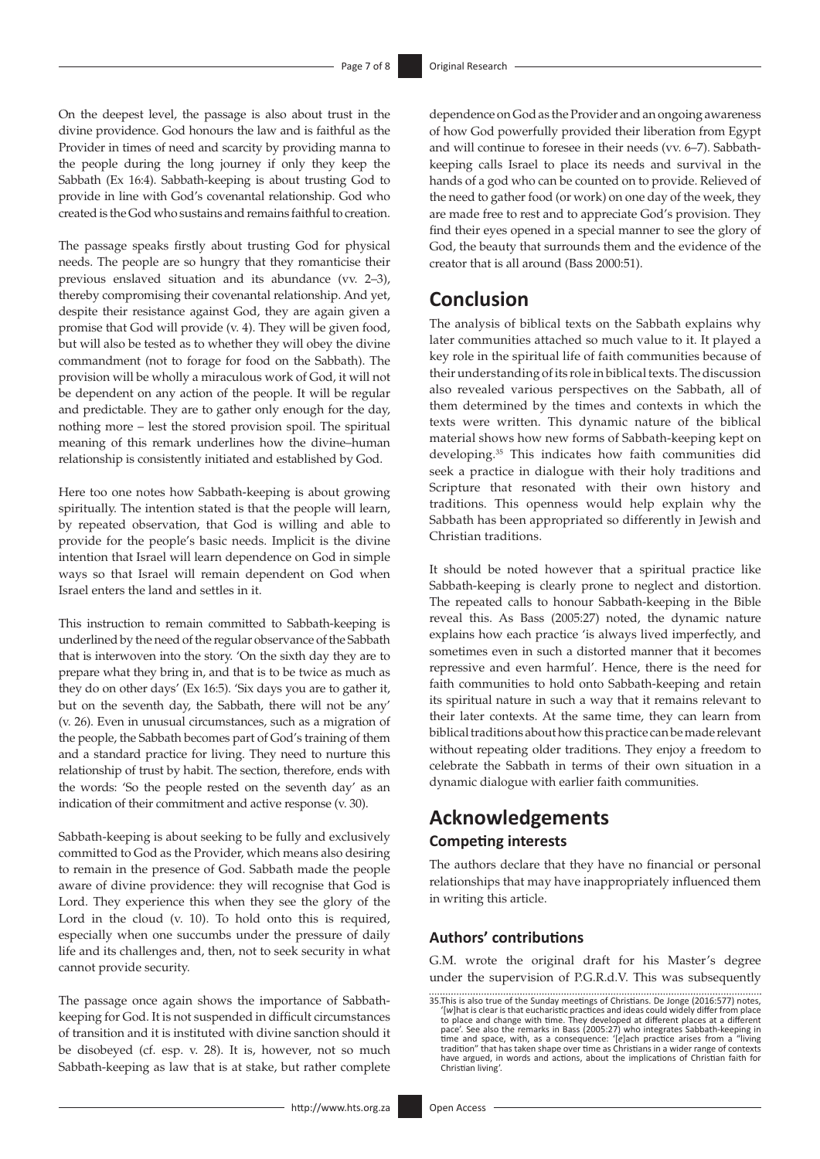On the deepest level, the passage is also about trust in the divine providence. God honours the law and is faithful as the Provider in times of need and scarcity by providing manna to the people during the long journey if only they keep the Sabbath (Ex 16:4). Sabbath-keeping is about trusting God to provide in line with God's covenantal relationship. God who created is the God who sustains and remains faithful to creation.

The passage speaks firstly about trusting God for physical needs. The people are so hungry that they romanticise their previous enslaved situation and its abundance (vv. 2–3), thereby compromising their covenantal relationship. And yet, despite their resistance against God, they are again given a promise that God will provide (v. 4). They will be given food, but will also be tested as to whether they will obey the divine commandment (not to forage for food on the Sabbath). The provision will be wholly a miraculous work of God, it will not be dependent on any action of the people. It will be regular and predictable. They are to gather only enough for the day, nothing more – lest the stored provision spoil. The spiritual meaning of this remark underlines how the divine–human relationship is consistently initiated and established by God.

Here too one notes how Sabbath-keeping is about growing spiritually. The intention stated is that the people will learn, by repeated observation, that God is willing and able to provide for the people's basic needs. Implicit is the divine intention that Israel will learn dependence on God in simple ways so that Israel will remain dependent on God when Israel enters the land and settles in it.

This instruction to remain committed to Sabbath-keeping is underlined by the need of the regular observance of the Sabbath that is interwoven into the story. 'On the sixth day they are to prepare what they bring in, and that is to be twice as much as they do on other days' (Ex 16:5). 'Six days you are to gather it, but on the seventh day, the Sabbath, there will not be any' (v. 26). Even in unusual circumstances, such as a migration of the people, the Sabbath becomes part of God's training of them and a standard practice for living. They need to nurture this relationship of trust by habit. The section, therefore, ends with the words: 'So the people rested on the seventh day' as an indication of their commitment and active response (v. 30).

Sabbath-keeping is about seeking to be fully and exclusively committed to God as the Provider, which means also desiring to remain in the presence of God. Sabbath made the people aware of divine providence: they will recognise that God is Lord. They experience this when they see the glory of the Lord in the cloud (v. 10). To hold onto this is required, especially when one succumbs under the pressure of daily life and its challenges and, then, not to seek security in what cannot provide security.

The passage once again shows the importance of Sabbathkeeping for God. It is not suspended in difficult circumstances of transition and it is instituted with divine sanction should it be disobeyed (cf. esp. v. 28). It is, however, not so much Sabbath-keeping as law that is at stake, but rather complete

dependence on God as the Provider and an ongoing awareness of how God powerfully provided their liberation from Egypt and will continue to foresee in their needs (vv. 6–7). Sabbathkeeping calls Israel to place its needs and survival in the hands of a god who can be counted on to provide. Relieved of the need to gather food (or work) on one day of the week, they are made free to rest and to appreciate God's provision. They find their eyes opened in a special manner to see the glory of God, the beauty that surrounds them and the evidence of the creator that is all around (Bass 2000:51).

# **Conclusion**

The analysis of biblical texts on the Sabbath explains why later communities attached so much value to it. It played a key role in the spiritual life of faith communities because of their understanding of its role in biblical texts. The discussion also revealed various perspectives on the Sabbath, all of them determined by the times and contexts in which the texts were written. This dynamic nature of the biblical material shows how new forms of Sabbath-keeping kept on developing.35 This indicates how faith communities did seek a practice in dialogue with their holy traditions and Scripture that resonated with their own history and traditions. This openness would help explain why the Sabbath has been appropriated so differently in Jewish and Christian traditions.

It should be noted however that a spiritual practice like Sabbath-keeping is clearly prone to neglect and distortion. The repeated calls to honour Sabbath-keeping in the Bible reveal this. As Bass (2005:27) noted, the dynamic nature explains how each practice 'is always lived imperfectly, and sometimes even in such a distorted manner that it becomes repressive and even harmful'. Hence, there is the need for faith communities to hold onto Sabbath-keeping and retain its spiritual nature in such a way that it remains relevant to their later contexts. At the same time, they can learn from biblical traditions about how this practice can be made relevant without repeating older traditions. They enjoy a freedom to celebrate the Sabbath in terms of their own situation in a dynamic dialogue with earlier faith communities.

# **Acknowledgements**

## **Competing interests**

The authors declare that they have no financial or personal relationships that may have inappropriately influenced them in writing this article.

## **Authors' contributions**

G.M. wrote the original draft for his Master's degree under the supervision of P.G.R.d.V. This was subsequently

<sup>35.</sup>This is also true of the Sunday meetings of Christians. De Jonge (2016:577) notes, '[*w*]hat is clear is that eucharistic practices and ideas could widely differ from place to place and change with time. They developed at different places at a different pace'. See also the remarks in Bass (2005:27) who integrates Sabbath-keeping in<br>time and space, with, as a consequence: '(e]ach practice arises from a "living<br>tradition" that has taken shape over time as Christians in a wi have argued, in words and actions, about the implications of Christian faith for Christian living'.